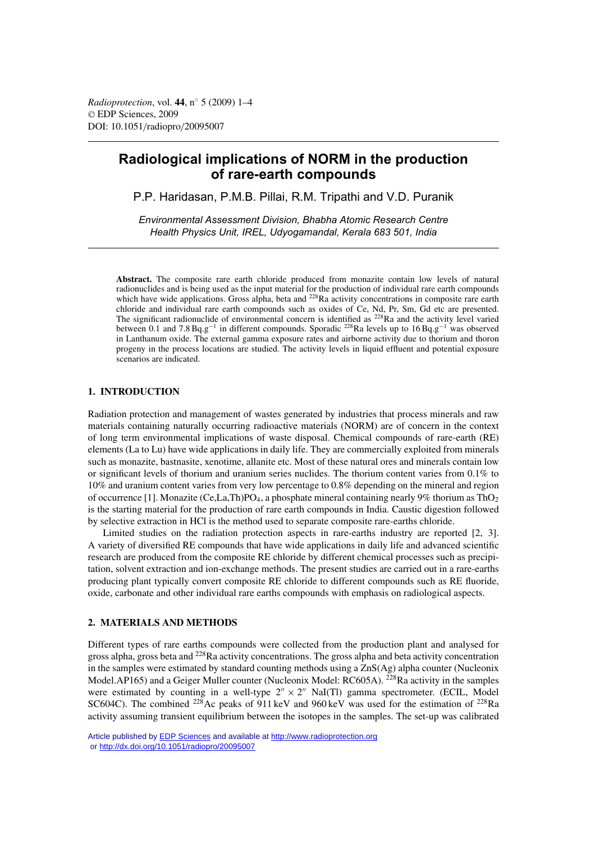# **Radiological implications of NORM in the production of rare-earth compounds**

P.P. Haridasan, P.M.B. Pillai, R.M. Tripathi and V.D. Puranik

*Environmental Assessment Division, Bhabha Atomic Research Centre Health Physics Unit, IREL, Udyogamandal, Kerala 683 501, India*

**Abstract.** The composite rare earth chloride produced from monazite contain low levels of natural radionuclides and is being used as the input material for the production of individual rare earth compounds which have wide applications. Gross alpha, beta and <sup>228</sup>Ra activity concentrations in composite rare earth chloride and individual rare earth compounds such as oxides of Ce, Nd, Pr, Sm, Gd etc are presented. The significant radionuclide of environmental concern is identified as <sup>228</sup>Ra and the activity level varied between 0.1 and 7.8 Bq.g−<sup>1</sup> in different compounds. Sporadic 228Ra levels up to 16 Bq.g−<sup>1</sup> was observed in Lanthanum oxide. The external gamma exposure rates and airborne activity due to thorium and thoron progeny in the process locations are studied. The activity levels in liquid effluent and potential exposure scenarios are indicated.

## **1. INTRODUCTION**

Radiation protection and management of wastes generated by industries that process minerals and raw materials containing naturally occurring radioactive materials (NORM) are of concern in the context of long term environmental implications of waste disposal. Chemical compounds of rare-earth (RE) elements (La to Lu) have wide applications in daily life. They are commercially exploited from minerals such as monazite, bastnasite, xenotime, allanite etc. Most of these natural ores and minerals contain low or significant levels of thorium and uranium series nuclides. The thorium content varies from 0.1% to 10% and uranium content varies from very low percentage to 0.8% depending on the mineral and region of occurrence [1]. Monazite (Ce,La,Th)PO<sub>4</sub>, a phosphate mineral containing nearly 9% thorium as ThO<sub>2</sub> is the starting material for the production of rare earth compounds in India. Caustic digestion followed by selective extraction in HCl is the method used to separate composite rare-earths chloride.

Limited studies on the radiation protection aspects in rare-earths industry are reported [2, 3]. A variety of diversified RE compounds that have wide applications in daily life and advanced scientific research are produced from the composite RE chloride by different chemical processes such as precipitation, solvent extraction and ion-exchange methods. The present studies are carried out in a rare-earths producing plant typically convert composite RE chloride to different compounds such as RE fluoride, oxide, carbonate and other individual rare earths compounds with emphasis on radiological aspects.

# **2. MATERIALS AND METHODS**

Different types of rare earths compounds were collected from the production plant and analysed for gross alpha, gross beta and <sup>228</sup>Ra activity concentrations. The gross alpha and beta activity concentration in the samples were estimated by standard counting methods using a ZnS(Ag) alpha counter (Nucleonix Model.AP165) and a Geiger Muller counter (Nucleonix Model: RC605A). <sup>228</sup>Ra activity in the samples were estimated by counting in a well-type  $2'' \times 2''$  NaI(Tl) gamma spectrometer. (ECIL, Model SC604C). The combined <sup>228</sup>Ac peaks of 911 keV and 960 keV was used for the estimation of <sup>228</sup>Ra activity assuming transient equilibrium between the isotopes in the samples. The set-up was calibrated

Article published by [EDP Sciences](http://www.edpsciences.org) and available at<http://www.radioprotection.org> or <http://dx.doi.org/10.1051/radiopro/20095007>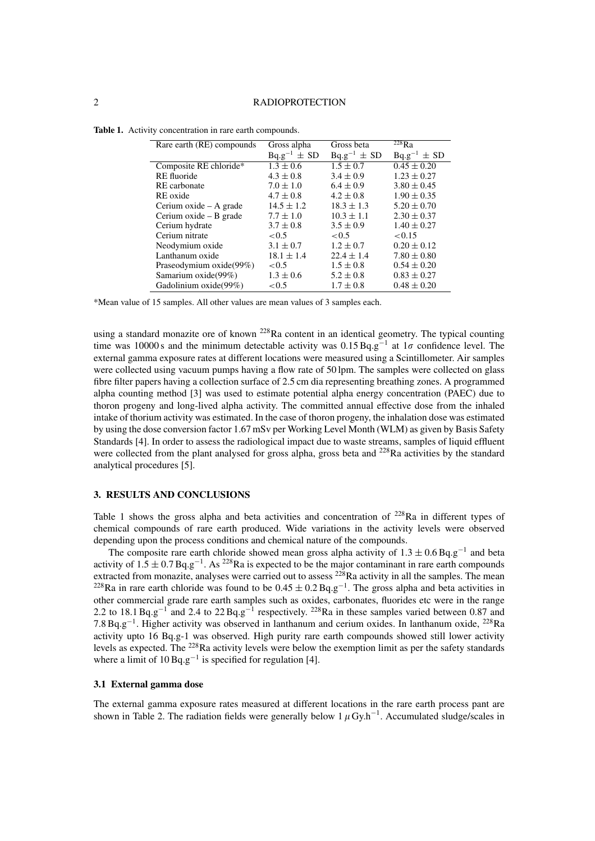| Rare earth (RE) compounds | Gross alpha        | Gross beta         | $\overline{^{228}}$ Ra |
|---------------------------|--------------------|--------------------|------------------------|
|                           | $Bq.g^{-1} \pm SD$ | $Bq.g^{-1} \pm SD$ | $Bq.g^{-1} \pm SD$     |
| Composite RE chloride*    | $1.3 \pm 0.6$      | $1.5 \pm 0.7$      | $0.45 \pm 0.20$        |
| RE fluoride               | $4.3 \pm 0.8$      | $3.4 \pm 0.9$      | $1.23 \pm 0.27$        |
| RE carbonate              | $7.0 \pm 1.0$      | $6.4 \pm 0.9$      | $3.80 \pm 0.45$        |
| RE oxide                  | $4.7 \pm 0.8$      | $4.2 \pm 0.8$      | $1.90 \pm 0.35$        |
| Cerium oxide – A grade    | $14.5 \pm 1.2$     | $18.3 \pm 1.3$     | $5.20 \pm 0.70$        |
| Cerium oxide – B grade    | $7.7 \pm 1.0$      | $10.3 \pm 1.1$     | $2.30 \pm 0.37$        |
| Cerium hydrate            | $3.7 \pm 0.8$      | $3.5 \pm 0.9$      | $1.40 \pm 0.27$        |
| Cerium nitrate            | < 0.5              | < 0.5              | < 0.15                 |
| Neodymium oxide           | $3.1 \pm 0.7$      | $1.2 \pm 0.7$      | $0.20 \pm 0.12$        |
| Lanthanum oxide           | $18.1 \pm 1.4$     | $22.4 \pm 1.4$     | $7.80 \pm 0.80$        |
| Praseodymium oxide(99%)   | < 0.5              | $1.5 \pm 0.8$      | $0.54 \pm 0.20$        |
| Samarium oxide(99%)       | $1.3 \pm 0.6$      | $5.2 \pm 0.8$      | $0.83 \pm 0.27$        |
| Gadolinium oxide(99%)     | ${<}0.5$           | $1.7 \pm 0.8$      | $0.48 \pm 0.20$        |

|  |  | Table 1. Activity concentration in rare earth compounds. |  |  |  |
|--|--|----------------------------------------------------------|--|--|--|
|--|--|----------------------------------------------------------|--|--|--|

\*Mean value of 15 samples. All other values are mean values of 3 samples each.

using a standard monazite ore of known  $^{228}$ Ra content in an identical geometry. The typical counting time was 10000 s and the minimum detectable activity was  $0.15 \text{ Bq} \cdot \text{g}^{-1}$  at  $1\sigma$  confidence level. The external gamma exposure rates at different locations were measured using a Scintillometer. Air samples were collected using vacuum pumps having a flow rate of 50 lpm. The samples were collected on glass fibre filter papers having a collection surface of 2.5 cm dia representing breathing zones. A programmed alpha counting method [3] was used to estimate potential alpha energy concentration (PAEC) due to thoron progeny and long-lived alpha activity. The committed annual effective dose from the inhaled intake of thorium activity was estimated. In the case of thoron progeny, the inhalation dose was estimated by using the dose conversion factor 1.67 mSv per Working Level Month (WLM) as given by Basis Safety Standards [4]. In order to assess the radiological impact due to waste streams, samples of liquid effluent were collected from the plant analysed for gross alpha, gross beta and <sup>228</sup>Ra activities by the standard analytical procedures [5].

# **3. RESULTS AND CONCLUSIONS**

Table 1 shows the gross alpha and beta activities and concentration of <sup>228</sup>Ra in different types of chemical compounds of rare earth produced. Wide variations in the activity levels were observed depending upon the process conditions and chemical nature of the compounds.

The composite rare earth chloride showed mean gross alpha activity of  $1.3 \pm 0.6$  Bq.g<sup>-1</sup> and beta activity of  $1.5 \pm 0.7$  Bq.g<sup>-1</sup>. As <sup>228</sup>Ra is expected to be the major contaminant in rare earth compounds extracted from monazite, analyses were carried out to assess  $228$ Ra activity in all the samples. The mean <sup>228</sup>Ra in rare earth chloride was found to be  $0.45 \pm 0.2$  Bq.g<sup>-1</sup>. The gross alpha and beta activities in other commercial grade rare earth samples such as oxides, carbonates, fluorides etc were in the range 2.2 to 18.1 Bq.g<sup>-1</sup> and 2.4 to 22 Bq.g<sup>-1</sup> respectively. <sup>228</sup>Ra in these samples varied between 0.87 and 7.8 Bq.g−1. Higher activity was observed in lanthanum and cerium oxides. In lanthanum oxide, 228Ra activity upto 16 Bq.g-1 was observed. High purity rare earth compounds showed still lower activity levels as expected. The 228Ra activity levels were below the exemption limit as per the safety standards where a limit of  $10 \text{ Bq.g}^{-1}$  is specified for regulation [4].

# **3.1 External gamma dose**

The external gamma exposure rates measured at different locations in the rare earth process pant are shown in Table 2. The radiation fields were generally below  $1 \mu Gy.h^{-1}$ . Accumulated sludge/scales in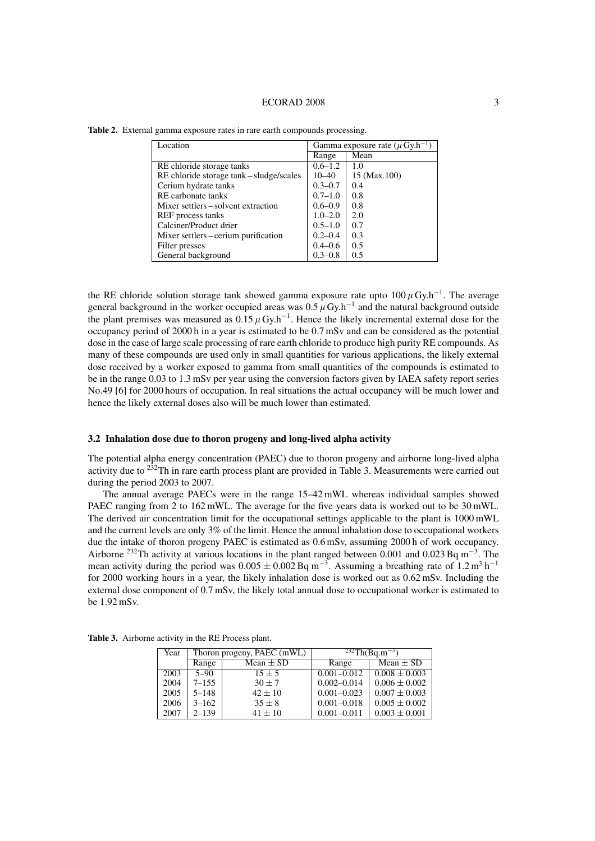#### ECORAD 2008 3

| Location                                 | Gamma exposure rate ( $\mu$ Gy.h <sup>-1</sup> ) |              |
|------------------------------------------|--------------------------------------------------|--------------|
|                                          | Range                                            | Mean         |
| RE chloride storage tanks                | $0.6 - 1.2$                                      | 1.0          |
| RE chloride storage tank – sludge/scales | 10–40                                            | 15 (Max.100) |
| Cerium hydrate tanks                     | $0.3 - 0.7$                                      | 0.4          |
| RE carbonate tanks                       | $0.7 - 1.0$                                      | 0.8          |
| Mixer settlers – solvent extraction      | $0.6 - 0.9$                                      | 0.8          |
| REF process tanks                        | $1.0 - 2.0$                                      | 2.0          |
| Calciner/Product drier                   | $0.5 - 1.0$                                      | 0.7          |
| Mixer settlers – cerium purification     | $0.2 - 0.4$                                      | 0.3          |
| Filter presses                           | $0.4 - 0.6$                                      | 0.5          |
| General background                       | $0.3 - 0.8$                                      | 0.5          |

**Table 2.** External gamma exposure rates in rare earth compounds processing.

the RE chloride solution storage tank showed gamma exposure rate upto  $100 \mu Gy \cdot h^{-1}$ . The average general background in the worker occupied areas was 0.5  $\mu$  Gy.h<sup>-1</sup> and the natural background outside the plant premises was measured as  $0.15 \mu Gy \cdot h^{-1}$ . Hence the likely incremental external dose for the occupancy period of 2000 h in a year is estimated to be 0.7 mSv and can be considered as the potential dose in the case of large scale processing of rare earth chloride to produce high purity RE compounds. As many of these compounds are used only in small quantities for various applications, the likely external dose received by a worker exposed to gamma from small quantities of the compounds is estimated to be in the range 0.03 to 1.3 mSv per year using the conversion factors given by IAEA safety report series No.49 [6] for 2000 hours of occupation. In real situations the actual occupancy will be much lower and hence the likely external doses also will be much lower than estimated.

#### **3.2 Inhalation dose due to thoron progeny and long-lived alpha activity**

The potential alpha energy concentration (PAEC) due to thoron progeny and airborne long-lived alpha activity due to 232Th in rare earth process plant are provided in Table 3. Measurements were carried out during the period 2003 to 2007.

The annual average PAECs were in the range 15–42 mWL whereas individual samples showed PAEC ranging from 2 to 162 mWL. The average for the five years data is worked out to be 30 mWL. The derived air concentration limit for the occupational settings applicable to the plant is 1000 mWL and the current levels are only 3% of the limit. Hence the annual inhalation dose to occupational workers due the intake of thoron progeny PAEC is estimated as 0.6 mSv, assuming 2000 h of work occupancy. Airborne <sup>232</sup>Th activity at various locations in the plant ranged between 0.001 and 0.023 Bq m<sup>-3</sup>. The mean activity during the period was  $0.005 \pm 0.002$  Bq m<sup>-3</sup>. Assuming a breathing rate of 1.2 m<sup>3</sup> h<sup>-1</sup> for 2000 working hours in a year, the likely inhalation dose is worked out as 0.62 mSv. Including the external dose component of 0.7 mSv, the likely total annual dose to occupational worker is estimated to be 1.92 mSv.

| Year | Thoron progeny, PAEC (mWL) |               | $\sqrt[232]{\text{Th}(Bq.m^{-3})}$ |                   |
|------|----------------------------|---------------|------------------------------------|-------------------|
|      | Range                      | Mean $\pm$ SD | Range                              | Mean $\pm$ SD     |
| 2003 | $5 - 90$                   | $15 \pm 5$    | $0.001 - 0.012$                    | $0.008 \pm 0.003$ |
| 2004 | $7 - 155$                  | $30 \pm 7$    | $0.002 - 0.014$                    | $0.006 \pm 0.002$ |
| 2005 | $5 - 148$                  | $42 \pm 10$   | $0.001 - 0.023$                    | $0.007 \pm 0.003$ |
| 2006 | $3 - 162$                  | $35 \pm 8$    | $0.001 - 0.018$                    | $0.005 \pm 0.002$ |
| 2007 | $2 - 139$                  | $41 \pm 10$   | $0.001 - 0.011$                    | $0.003 \pm 0.001$ |

**Table 3.** Airborne activity in the RE Process plant.